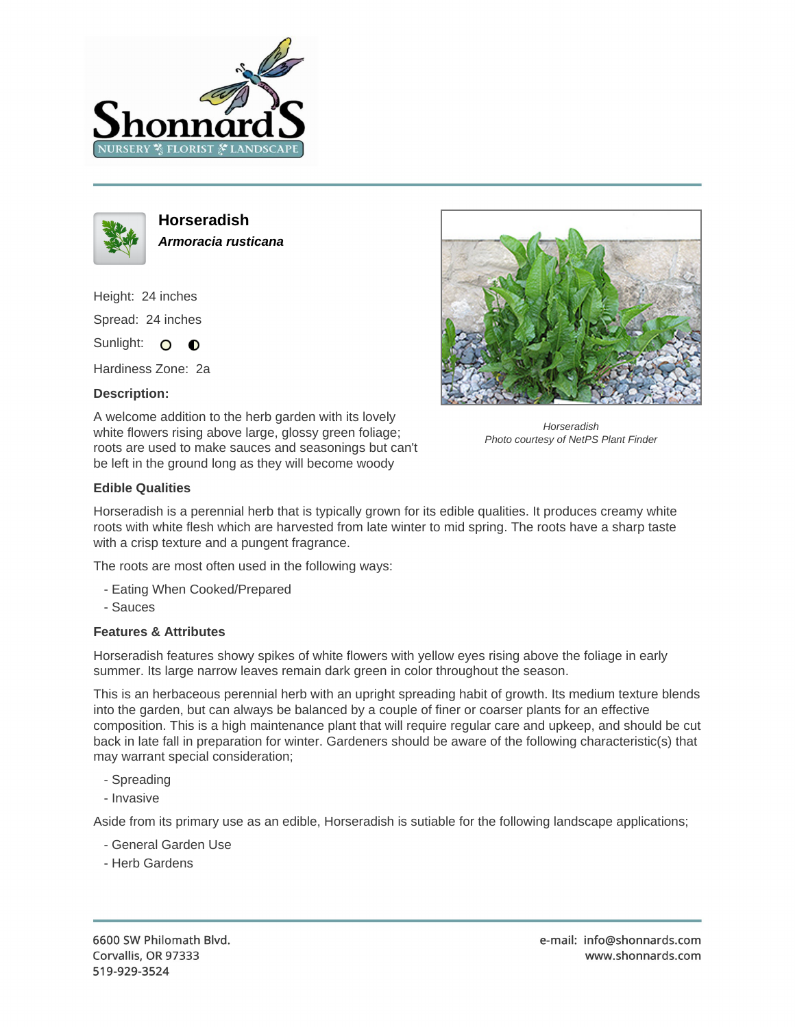



**Horseradish Armoracia rusticana**

Height: 24 inches Spread: 24 inches Sunlight: O **O** 

Hardiness Zone: 2a

## **Description:**

A welcome addition to the herb garden with its lovely white flowers rising above large, glossy green foliage; roots are used to make sauces and seasonings but can't be left in the ground long as they will become woody



**Horseradish** Photo courtesy of NetPS Plant Finder

## **Edible Qualities**

Horseradish is a perennial herb that is typically grown for its edible qualities. It produces creamy white roots with white flesh which are harvested from late winter to mid spring. The roots have a sharp taste with a crisp texture and a pungent fragrance.

The roots are most often used in the following ways:

- Eating When Cooked/Prepared
- Sauces

## **Features & Attributes**

Horseradish features showy spikes of white flowers with yellow eyes rising above the foliage in early summer. Its large narrow leaves remain dark green in color throughout the season.

This is an herbaceous perennial herb with an upright spreading habit of growth. Its medium texture blends into the garden, but can always be balanced by a couple of finer or coarser plants for an effective composition. This is a high maintenance plant that will require regular care and upkeep, and should be cut back in late fall in preparation for winter. Gardeners should be aware of the following characteristic(s) that may warrant special consideration;

- Spreading
- Invasive

Aside from its primary use as an edible, Horseradish is sutiable for the following landscape applications;

- General Garden Use
- Herb Gardens